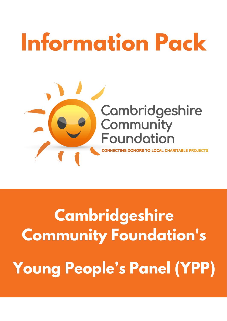# **Information Pack**



**Cambridgeshire Community Foundation's Young People's Panel (YPP)**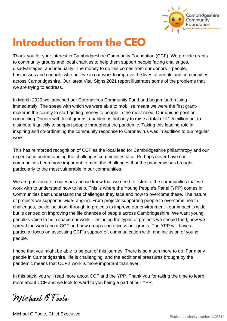

### **Introduction from the CEO**

Thank you for your interest in Cambridgeshire Community Foundation (CCF). We provide grants to community groups and local charities to help them support people facing challenges, disadvantages, and inequality. The money to do this comes from our donors – people, businesses and councils who believe in our work to improve the lives of people and communities across Cambridgeshire. Our latest Vital Signs 2021 report illustrates some of the problems that we are trying to address.

In March 2020 we launched our Coronavirus Community Fund and began fund raising immediately. The speed with which we were able to mobilise meant we were the first grantmaker in the county to start getting money to people in the most need. Our unique position, connecting Donors with local groups, enabled us not only to raise a total of £1.5 million but to distribute it quickly to support people throughout the pandemic. Taking this leading role in inspiring and co-ordinating the community response to Coronavirus was in addition to our regular work.

This has reinforced recognition of CCF as the local lead for Cambridgeshire philanthropy and our expertise in understanding the challenges communities face. Perhaps never have our communities been more important to meet the challenges that the pandemic has brought, particularly to the most vulnerable in our communities.

We are passionate in our work and we know that we need to listen to the communities that we work with to understand how to help. This is where the Young People's Panel (YPP) comes in. Communities best understand the challenges they face and how to overcome these. The nature of projects we support is wide-ranging. From projects supporting people to overcome health challenges, tackle isolation, through to projects to improve our environment - our impact is wide but is centred on improving the life chances of people across Cambridgeshire. We want young people's voice to help shape our work – including the types of projects we should fund, how we spread the word about CCF and how groups can access our grants. The YPP will have a particular focus on assessing CCF's support of, communication with, and inclusion of young people.

I hope that you might be able to be part of this journey. There is so much more to do. For many people in Cambridgeshire, life is challenging, and the additional pressures brought by the pandemic means that CCF's work is more important than ever.

In this pack, you will read more about CCF and the YPP. Thank you for taking the time to learn more about CCF and we look forward to you being a part of our YPP.

Michael O'Toole

Michael O'Toole, Chief Executive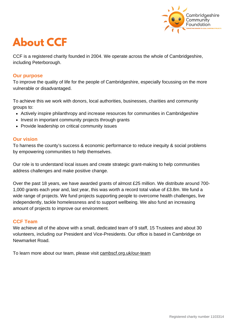

### **About CCF**

CCF is a registered charity founded in 2004. We operate across the whole of Cambridgeshire, including Peterborough.

#### **Our purpose**

To improve the quality of life for the people of Cambridgeshire, especially focussing on the more vulnerable or disadvantaged.

To achieve this we work with donors, local authorities, businesses, charities and community groups to:

- Actively inspire philanthropy and increase resources for communities in Cambridgeshire
- Invest in important community projects through grants
- Provide leadership on critical community issues

#### **Our vision**

To harness the county's success & economic performance to reduce inequity & social problems by empowering communities to help themselves.

Our role is to understand local issues and create strategic grant-making to help communities address challenges and make positive change.

Over the past 18 years, we have awarded grants of almost £25 million. We distribute around 700- 1,000 grants each year and, last year, this was worth a record total value of £3.8m. We fund a wide range of projects. We fund projects supporting people to overcome health challenges, live independently, tackle homelessness and to support wellbeing. We also fund an increasing amount of projects to improve our environment.

#### **CCF Team**

We achieve all of the above with a small, dedicated team of 9 staff, 15 Trustees and about 30 volunteers, including our President and Vice-Presidents. Our office is based in Cambridge on Newmarket Road.

To learn more about our team, please visit [cambscf.org.uk/our-team](https://www.cambscf.org.uk/our-team)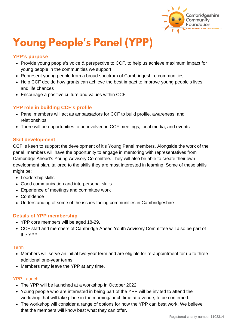

# **Young People's Panel (YPP)**

#### **YPP's purpose**

- Provide young people's voice & perspective to CCF, to help us achieve maximum impact for young people in the communities we support
- Represent young people from a broad spectrum of Cambridgeshire communities
- Help CCF decide how grants can achieve the best impact to improve young people's lives and life chances
- Encourage a positive culture and values within CCF

#### **YPP role in building CCF's profile**

- Panel members will act as ambassadors for CCF to build profile, awareness, and relationships
- There will be opportunities to be involved in CCF meetings, local media, and events

#### **Skill development**

CCF is keen to support the development of it's Young Panel members. Alongside the work of the panel, members will have the opportunity to engage in mentoring with representatives from Cambridge Ahead's Young Advisory Committee. They will also be able to create their own development plan, tailored to the skills they are most interested in learning. Some of these skills might be:

- Leadership skills
- Good communication and interpersonal skills
- Experience of meetings and committee work
- Confidence
- Understanding of some of the issues facing communities in Cambridgeshire

#### **Details of YPP membership**

- YPP core members will be aged 18-29.
- CCF staff and members of Cambridge Ahead Youth Advisory Committee will also be part of the YPP.

#### Term

- Members will serve an initial two-year term and are eligible for re-appointment for up to three additional one-year terms.
- Members may leave the YPP at any time.

#### YPP Launch

- The YPP will be launched at a workshop in October 2022.
- Young people who are interested in being part of the YPP will be invited to attend the workshop that will take place in the morning/lunch time at a venue, to be confirmed.
- The workshop will consider a range of options for how the YPP can best work. We believe that the members will know best what they can offer.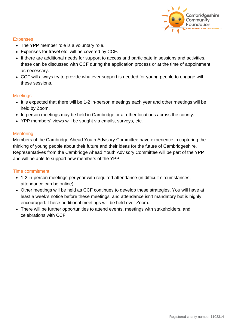

#### **Expenses**

- The YPP member role is a voluntary role.
- Expenses for travel etc. will be covered by CCF.
- If there are additional needs for support to access and participate in sessions and activities, these can be discussed with CCF during the application process or at the time of appointment as necessary.
- CCF will always try to provide whatever support is needed for young people to engage with these sessions.

#### **Meetings**

- It is expected that there will be 1-2 in-person meetings each year and other meetings will be held by Zoom.
- In person meetings may be held in Cambridge or at other locations across the county.
- YPP members' views will be sought via emails, surveys, etc.

#### **Mentoring**

Members of the Cambridge Ahead Youth Advisory Committee have experience in capturing the thinking of young people about their future and their ideas for the future of Cambridgeshire. Representatives from the Cambridge Ahead Youth Advisory Committee will be part of the YPP and will be able to support new members of the YPP.

#### Time commitment

- 1-2 in-person meetings per year with required attendance (in difficult circumstances, attendance can be online).
- Other meetings will be held as CCF continues to develop these strategies. You will have at least a week's notice before these meetings, and attendance isn't mandatory but is highly encouraged. These additional meetings will be held over Zoom.
- There will be further opportunities to attend events, meetings with stakeholders, and celebrations with CCF.